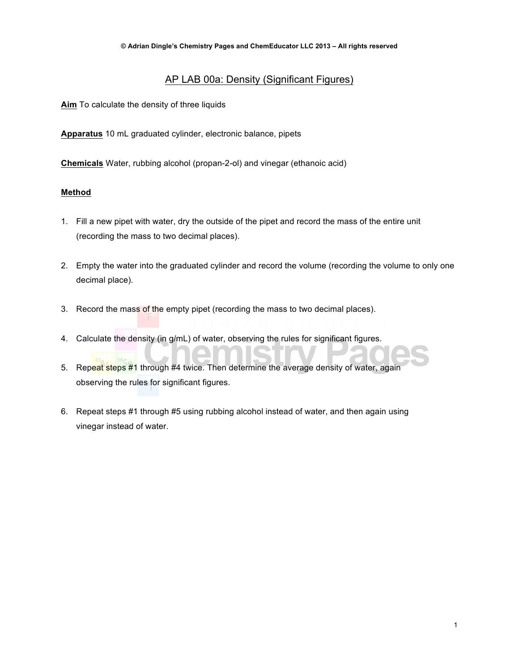# AP LAB 00a: Density (Significant Figures)

**Aim** To calculate the density of three liquids

**Apparatus** 10 mL graduated cylinder, electronic balance, pipets

**Chemicals** Water, rubbing alcohol (propan-2-ol) and vinegar (ethanoic acid)

#### **Method**

- 1. Fill a new pipet with water, dry the outside of the pipet and record the mass of the entire unit (recording the mass to two decimal places).
- 2. Empty the water into the graduated cylinder and record the volume (recording the volume to only one decimal place).
- 3. Record the mass of the empty pipet (recording the mass to two decimal places).
- 4. Calculate the density (in g/mL) of water, observing the rules for significant figures.
- 5. Repeat steps #1 through #4 twice. Then determine the average density of water, again observing the rules for significant figures.
- 6. Repeat steps #1 through #5 using rubbing alcohol instead of water, and then again using vinegar instead of water.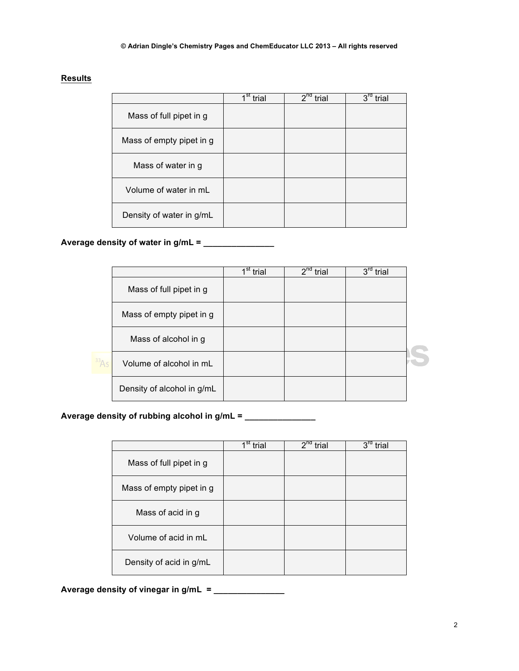#### **Results**

|                          | $1$ st<br>trial | $2^{nd}$<br>trial | 3rd<br>trial |
|--------------------------|-----------------|-------------------|--------------|
| Mass of full pipet in g  |                 |                   |              |
| Mass of empty pipet in g |                 |                   |              |
| Mass of water in g       |                 |                   |              |
| Volume of water in mL    |                 |                   |              |
| Density of water in g/mL |                 |                   |              |

## **Average density of water in g/mL = \_\_\_\_\_\_\_\_\_\_\_\_\_\_\_**

|                            | $1st$ trial | $2^{nd}$ trial | 3 <sup>rd</sup><br>trial |  |
|----------------------------|-------------|----------------|--------------------------|--|
| Mass of full pipet in g    |             |                |                          |  |
| Mass of empty pipet in g   |             |                |                          |  |
| Mass of alcohol in g       |             |                |                          |  |
| Volume of alcohol in mL    |             |                |                          |  |
| Density of alcohol in g/mL |             |                |                          |  |

## **Average density of rubbing alcohol in g/mL = \_\_\_\_\_\_\_\_\_\_\_\_\_\_\_**

|                          | $1st$ trial | $2^{nq}$<br>trial | $3^{\text{rd}}$<br>trial |
|--------------------------|-------------|-------------------|--------------------------|
| Mass of full pipet in g  |             |                   |                          |
| Mass of empty pipet in g |             |                   |                          |
| Mass of acid in g        |             |                   |                          |
| Volume of acid in mL     |             |                   |                          |
| Density of acid in g/mL  |             |                   |                          |

**Average density of vinegar in g/mL = \_\_\_\_\_\_\_\_\_\_\_\_\_\_\_**